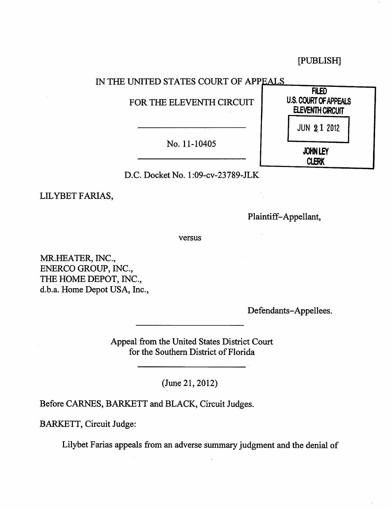[PUBLISH]

## IN THE UNITED STATES COURT OF APPEALS

FOR THE ELEVENTH CIRCUIT

No. 11-10405

D.C. Docket No.1 :09-cv-23789-JLK

LIL YBET FARIAS,

Plaintiff-Appellant,

versus

MR.HEATER, INC., ENERCO GROUP, INC., THE HOME DEPOT, INC., d.h.a. Home Depot USA, Inc.,

Defendants-Appellees.

Appeal from the United States District Court for the Southern District of Florida

(June 21, 2012)

Before CARNES, BARKETT and BLACK, Circuit Judges.

BARKETT, Circuit Judge:

Lilyhet Farias appeals from an adverse summary judgment and the denial of

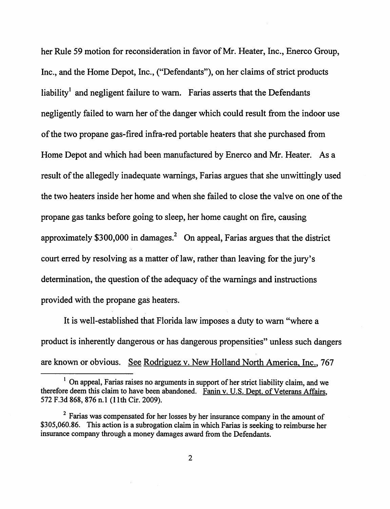her Rule 59 motion for reconsideration in favor of Mr. Heater, Inc., Enerco Group, Inc., and the Home Depot, Inc., ("Defendants"), on her claims of strict products liability<sup>1</sup> and negligent failure to warn. Farias asserts that the Defendants negligently failed to warn her of the danger which could result from the indoor use of the two propane gas-fired infra-red portable heaters that she purchased from Home *Depot* and which had been manufactured by Enerco and Mr. Heater. As a result of the allegedly inadequate warnings, Farias argues that she unwittingly used the two heaters inside her home and when she failed to close the valve on one of the propane gas tanks before going to sleep, her home caught on fire, causing approximately  $$300,000$  in damages.<sup>2</sup> On appeal, Farias argues that the district court erred by resolving as a matter of law, rather than leaving for the jury's determination, the question of the adequacy of the warnings and instructions provided with the propane gas heaters.

It is well-established that Florida law imposes a duty to warn "where a product is inherently dangerous or has dangerous propensities" unless such dangers are known or obvious. See Rodriguez v. New Holland North America, Inc., 767

 $<sup>1</sup>$  On appeal, Farias raises no arguments in support of her strict liability claim, and we</sup> therefore deem this claim to have been abandoned. Fanin v. U.S. Dept. of Veterans Affairs, 572 F.3d 868, 876 n.1 (11th Cir. 2009).

<sup>&</sup>lt;sup>2</sup> Farias was compensated for her losses by her insurance company in the amount of \$305,060.86. This action is a subrogation claim in which Farias is seeking to reimburse her insurance company through a money damages award from the Defendants.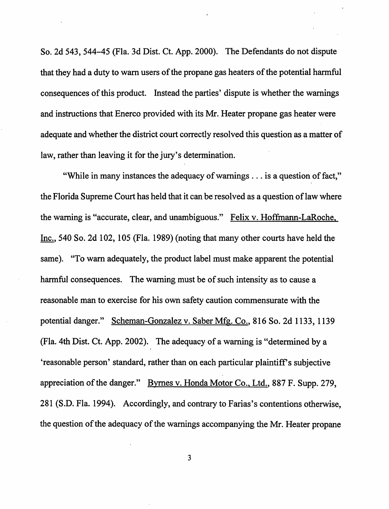So. 2d 543, 544-45 (Fla. 3d Dist. Ct. App. 2000). The Defendants do not dispute that they had a duty to warn users of the propane gas heaters of the potential harmful consequences of this product. Instead the parties' dispute is whether the warnings and instructions that Enerco provided with its Mr. Heater propane gas heater were adequate and whether the district court correctly resolved this question as a matter of law, rather than leaving it for the jury's determination.

"While in many instances the adequacy of warnings ... is a question of fact," the Florida Supreme Court has held that it can be resolved as a question of law where the warning is "accurate, clear, and unambiguous." Felix v. Hoffmann-LaRoche, Inc., 540 So. 2d 102, 105 (Fla. 1989) (noting that many other courts have held the same). "To warn adequately, the product label must make apparent the potential harmful consequences. The warning must be of such intensity as to cause a reasonable man to exercise for his own safety caution commensurate with the potential danger." Scheman-Gonzalez v. Saber Mfg. Co., 816 So. 2d 1133, 1139 (Fla. 4th Dist. Ct. App. 2002). The adequacy of a warning is "determined by a 'reasonable person' standard, rather than on each particular plaintiff's subjective appreciation of the danger." Byrnes v. Honda Motor Co., Ltd., 887 F. Supp. 279, 281 (S.D. Fla. 1994). Accordingly, and contrary to Farias's contentions otherwise, the question of the adequacy of the warnings accompanying the Mr. Heater propane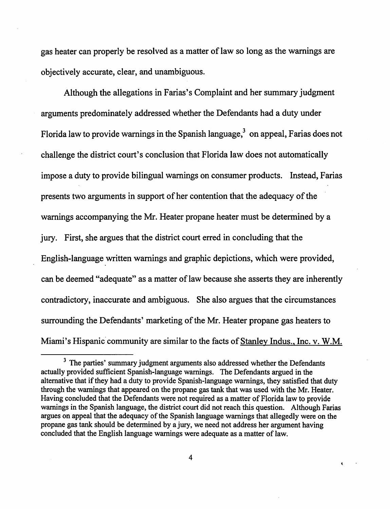gas heater can properly be resolved as a matter of law so long as the warnings are objectively accurate, clear, and unambiguous.

Although the allegations in Farias's Complaint and her summary judgment arguments predominately addressed whether the Defendants had a duty under Florida law to provide warnings in the Spanish language, $3$  on appeal, Farias does not challenge the district court's conclusion that Florida law does not automatically impose a duty to provide bilingual warnings on consumer products. Instead, Farias presents two arguments in support of her contention that the adequacy of the warnings accompanying the Mr. Heater propane heater must be determined by a jury. First, she argues that the district court erred in concluding that the English-language written warnings and graphic depictions, which were provided, can be deemed "adequate" as a matter of law because she asserts they are inherently contradictory, inaccurate and ambiguous. She also argues that the circumstances surrounding the Defendants' marketing of the Mr. Heater propane gas heaters to Miami's Hispanic community are similar to the facts of Stanley Indus., Inc. v. W.M.

<sup>&</sup>lt;sup>3</sup> The parties' summary judgment arguments also addressed whether the Defendants actually provided sufficient Spanish-language warnings. The Defendants argued in the alternative that if they had a duty to provide Spanish-language warnings, they satisfied that duty through the warnings that appeared on the propane gas tank that was used with the Mr. Heater. Having concluded that the Defendants were not required as a matter of Florida law to provide warnings in the Spanish language, the district court did not reach this question. Although Farias argues on appeal that the adequacy of the Spanish language warnings that allegedly were on the propane gas tank should be determined by a jury, we need not address her argument having concluded that the English language warnings were adequate as a matter of law.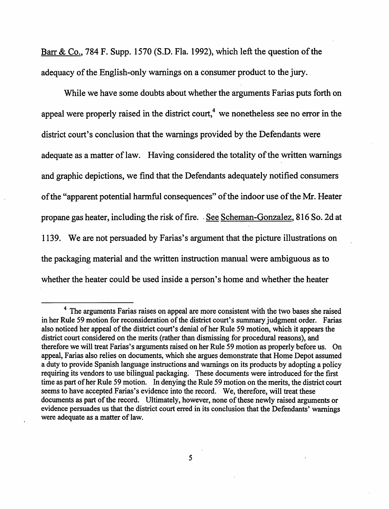Barr & Co., 784 F. Supp. 1570 (S.D. Fla. 1992), which left the question of the adequacy of the English-only warnings on a consumer product to the jury.

While we have some doubts about whether the arguments Farias puts forth on appeal were properly raised in the district court,<sup>4</sup> we nonetheless see no error in the district court's conclusion that the warnings provided by the Defendants were adequate as a matter of law. Having considered the totality of the written warnings and graphic depictions, we find that the Defendants adequately notified consumers of the "apparent potential harmful consequences" of the indoor use of the Mr. Heater propane gas heater, including the risk of fire. . See Scheman-Gonzalez, 816 So. 2d at 1139. We are not persuaded by Farias's argument that the picture illustrations on the packaging material and the written instruction manual were ambiguous as to whether the heater could be used inside a person's home and whether the heater

<sup>4</sup> The arguments Farias raises on appeal are more consistent with the two bases she raised in her Rule 59 motion for reconsideration of the district court's summary judgment order. Farias also noticed her appeal of the district court's denial of her Rule 59 motion, which it appears the district court considered on the merits (rather than dismissing for procedural reasons), and therefore we will treat Farias's arguments raised on her Rule 59 motion as properly before us. On appeal, Farias also relies on documents, which she argues demonstrate that Home Depot assumed a duty to provide Spanish language instructions and warnings on its products by adopting a policy requiring its vendors to use bilingual packaging. These documents were introduced for the first time as part of her Rule 59 motion. In denying the Rule 59 motion on the merits, the district court seems to have accepted Farias's evidence into the record. We, therefore, will treat these documents as part of the record. Ultimately, however, none of these newly raised arguments or evidence persuades us that the district court erred in its conclusion that the Defendants' warnings were adequate as a matter of law.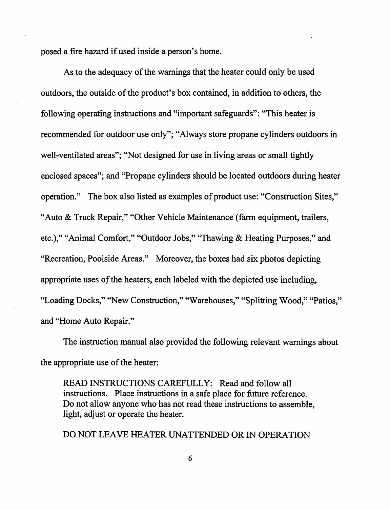posed a fire hazard if used inside a person's home.

As to the adequacy of the warnings that the heater could only be used outdoors, the outside of the product's box contained, in addition to others, the following operating instructions and "important safeguards": "This heater is recommended for outdoor use only"; "Always store propane cylinders outdoors in well-ventilated areas"; "Not designed for use in living areas or small tightly enclosed spaces"; and "Propane cylinders should be located outdoors during heater operation." The box also listed as examples of product use: "Construction Sites," "Auto & Truck Repair," "Other Vehicle Maintenance (farm equipment, trailers, etc.)," "Animal Comfort," "Outdoor Jobs," "Thawing & Heating Purposes," and "Recreation, Poolside Areas." Moreover, the boxes had six photos depicting appropriate uses of the heaters, each labeled with the depicted use including, "Loading Docks," "New Construction," "Warehouses," "Splitting Wood," "Patios," and "Home Auto Repair."

The instruction manual also provided the following relevant warnings about the appropriate use of the heater:

READ INSTRUCTIONS CAREFULLY: Read and follow all instructions. Place instructions in a safe place for future reference. Do not allow anyone who has not read these instructions to assemble, light, adjust or operate the heater.

DO NOT LEAVE HEATER UNATTENDED OR IN OPERATION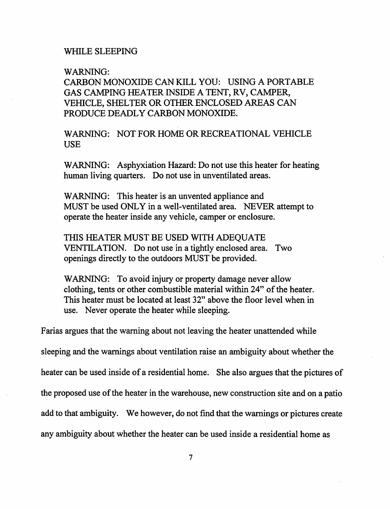## WHILE SLEEPING

## WARNING:

CARBON MONOXIDE CAN KILL YOU: USING A PORTABLE GAS CAMPING HEATER INSIDE A TENT, RV, CAMPER, VEHICLE, SHELTER OR OTHER ENCLOSED AREAS CAN PRODUCE DEADLY CARBON MONOXIDE.

WARNING: NOT FOR HOME OR RECREATIONAL VEHICLE USE

WARNING: Asphyxiation Hazard: Do not use this heater for heating human living quarters. Do not use in unventilated areas.

WARNING: This heater is an unvented appliance and MUST be used ONLY in a well-ventilated area. NEVER attempt to operate the heater inside any vehicle, camper or enclosure.

THIS HEATER MUST BE USED WITH ADEQUATE VENTILATION. Do not use in a tightly enclosed area. Two openings directly to the outdoors MUST be provided.

WARNING: To avoid injury or property damage never allow clothing, tents or other combustible material within 24" of the heater. This heater must be located at least 32" above the floor level when in use. Never operate the heater while sleeping.

Farias argues that the warning about not leaving the heater unattended while

sleeping and the warnings about ventilation raise an ambiguity about whether the

heater can be used inside of a residential home. She also argues that the pictures of

the proposed use of the heater in the warehouse, new construction site and on a patio

add to that ambiguity. We however, do not find that the warnings or pictures create

any ambiguity about whether the heater can be used inside a residential home as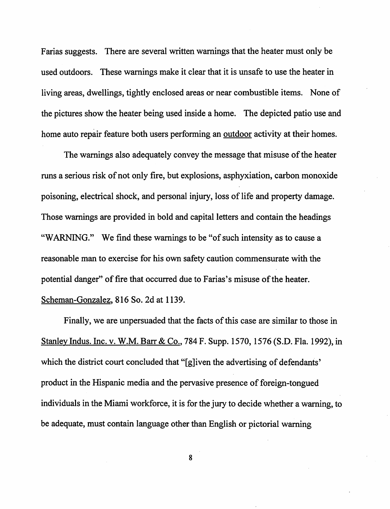Farias suggests. There are several written warnings that the heater must only be used outdoors. These warnings make it clear that it is unsafe to use the heater in living areas, dwellings, tightly enclosed areas or near combustible items. None of the pictures show the heater being used inside a home. The depicted patio use and home auto repair feature both users performing an outdoor activity at their homes.

The warnings also adequately convey the message that misuse of the heater runs a serious risk of not only fire, but explosions, asphyxiation, carbon monoxide poisoning, electrical shock, and personal injury, loss of life and property damage. Those warnings are provided in bold and capital letters and contain the headings "WARNING." We find these warnings to be "of such intensity as to cause a reasonable man to exercise for his own safety caution commensurate with the potential danger" of fire that occurred due to Farias's misuse of the heater. Scheman-Gonzalez, 816 So. 2d at 1139.

Finally, we are unpersuaded that the facts of this case are similar to those in Stanley Indus. Inc. v. W.M. Barr & Co., 784 F. Supp. 1570, 1576 (S.D. Fla. 1992), in which the district court concluded that "[g]iven the advertising of defendants' product in the Hispanic media and the pervasive presence of foreign-tongued individuals in the Miami workforce, it is for the jury to decide whether a warning, to be adequate, must contain language other than English or pictorial warning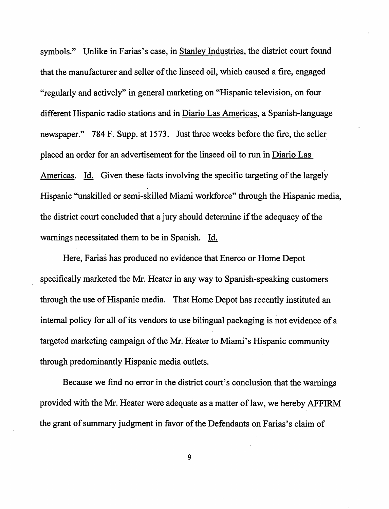symbols." Unlike in Farias's case, in Stanley Industries, the district court found that the manufacturer and seller of the linseed oil, which caused a fire, engaged "regularly and actively" in general marketing on "Hispanic television, on four different Hispanic radio stations and in Diario Las Americas, a Spanish-language newspaper." 784 F. Supp. at 1573. Just three weeks before the fire, the seller placed an order for an advertisement for the linseed oil to run in Diario Las Americas. Id. Given these facts involving the specific targeting of the largely Hispanic "unskilled or semi-skilled Miami workforce" through the Hispanic media, the district court concluded that a jury should determine if the adequacy of the warnings necessitated them to be in Spanish. Id.

Here, Farias has produced no evidence that Enerco or Home Depot specifically marketed the Mr. Heater in any way to Spanish-speaking customers through the use of Hispanic media. That Home Depot has recently instituted an internal policy for all of its vendors to use bilingual packaging is not evidence of a targeted marketing campaign of the Mr. Heater to Miami's Hispanic community through predominantly Hispanic media outlets.

Because we find no error in the district court's conclusion that the warnings provided with the Mr. Heater were adequate as a matter of law, we hereby AFFIRM the grant of summary judgment in favor of the Defendants on Farias's claim of